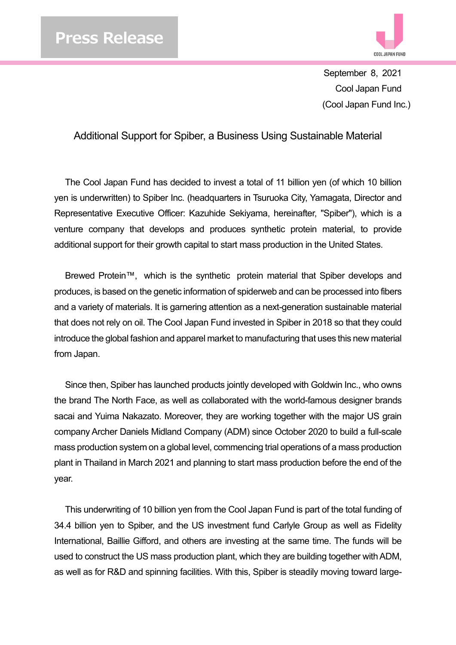

September 8, 2021 Cool Japan Fund (Cool Japan Fund Inc.)

Additional Support for Spiber, a Business Using Sustainable Material

The Cool Japan Fund has decided to invest a total of 11 billion yen (of which 10 billion yen is underwritten) to Spiber Inc. (headquarters in Tsuruoka City, Yamagata, Director and Representative Executive Officer: Kazuhide Sekiyama, hereinafter, "Spiber"), which is a venture company that develops and produces synthetic protein material, to provide additional support for their growth capital to start mass production in the United States.

Brewed Protein™, which is the synthetic protein material that Spiber develops and produces, is based on the genetic information of spiderweb and can be processed into fibers and a variety of materials. It is garnering attention as a next-generation sustainable material that does not rely on oil. The Cool Japan Fund invested in Spiber in 2018 so that they could introduce the global fashion and apparel market to manufacturing that uses this new material from Japan.

Since then, Spiber has launched products jointly developed with Goldwin Inc., who owns the brand The North Face, as well as collaborated with the world-famous designer brands sacai and Yuima Nakazato. Moreover, they are working together with the major US grain company Archer Daniels Midland Company (ADM) since October 2020 to build a full-scale mass production system on a global level, commencing trial operations of a mass production plant in Thailand in March 2021 and planning to start mass production before the end of the year.

This underwriting of 10 billion yen from the Cool Japan Fund is part of the total funding of 34.4 billion yen to Spiber, and the US investment fund Carlyle Group as well as Fidelity International, Baillie Gifford, and others are investing at the same time. The funds will be used to construct the US mass production plant, which they are building together with ADM, as well as for R&D and spinning facilities. With this, Spiber is steadily moving toward large